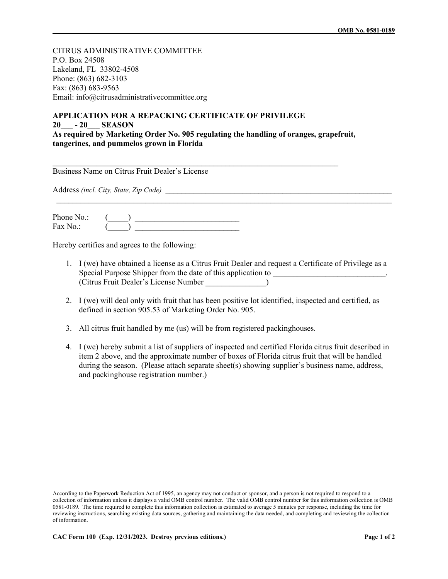CITRUS ADMINISTRATIVE COMMITTEE P.O. Box 24508 Lakeland, FL 33802-4508 Phone: (863) 682-3103 Fax: (863) 683-9563 Email: info@citrusadministrativecommittee.org

## **APPLICATION FOR A REPACKING CERTIFICATE OF PRIVILEGE**

## **20\_\_\_ - 20\_\_\_ SEASON**

**As required by Marketing Order No. 905 regulating the handling of oranges, grapefruit, tangerines, and pummelos grown in Florida**

 $\mathcal{L}_\text{max} = \mathcal{L}_\text{max} = \mathcal{L}_\text{max} = \mathcal{L}_\text{max} = \mathcal{L}_\text{max} = \mathcal{L}_\text{max} = \mathcal{L}_\text{max} = \mathcal{L}_\text{max} = \mathcal{L}_\text{max} = \mathcal{L}_\text{max} = \mathcal{L}_\text{max} = \mathcal{L}_\text{max} = \mathcal{L}_\text{max} = \mathcal{L}_\text{max} = \mathcal{L}_\text{max} = \mathcal{L}_\text{max} = \mathcal{L}_\text{max} = \mathcal{L}_\text{max} = \mathcal{$ 

Business Name on Citrus Fruit Dealer's License

Address *(incl. City, State, Zip Code)* 

Phone No.: (\_\_\_\_\_) \_\_\_\_\_\_\_\_\_\_\_\_\_\_\_\_\_\_\_\_\_\_\_\_\_\_ Fax No.:  $\qquad \qquad ( \qquad )$ 

Hereby certifies and agrees to the following:

1. I (we) have obtained a license as a Citrus Fruit Dealer and request a Certificate of Privilege as a Special Purpose Shipper from the date of this application to  $\blacksquare$ (Citrus Fruit Dealer's License Number \_\_\_\_\_\_\_\_\_\_\_\_\_\_\_)

 $\mathcal{L}_\mathcal{L} = \mathcal{L}_\mathcal{L} = \mathcal{L}_\mathcal{L} = \mathcal{L}_\mathcal{L} = \mathcal{L}_\mathcal{L} = \mathcal{L}_\mathcal{L} = \mathcal{L}_\mathcal{L} = \mathcal{L}_\mathcal{L} = \mathcal{L}_\mathcal{L} = \mathcal{L}_\mathcal{L} = \mathcal{L}_\mathcal{L} = \mathcal{L}_\mathcal{L} = \mathcal{L}_\mathcal{L} = \mathcal{L}_\mathcal{L} = \mathcal{L}_\mathcal{L} = \mathcal{L}_\mathcal{L} = \mathcal{L}_\mathcal{L}$ 

- 2. I (we) will deal only with fruit that has been positive lot identified, inspected and certified, as defined in section 905.53 of Marketing Order No. 905.
- 3. All citrus fruit handled by me (us) will be from registered packinghouses.
- 4. I (we) hereby submit a list of suppliers of inspected and certified Florida citrus fruit described in item 2 above, and the approximate number of boxes of Florida citrus fruit that will be handled during the season. (Please attach separate sheet(s) showing supplier's business name, address, and packinghouse registration number.)

According to the Paperwork Reduction Act of 1995, an agency may not conduct or sponsor, and a person is not required to respond to a collection of information unless it displays a valid OMB control number. The valid OMB control number for this information collection is OMB 0581-0189. The time required to complete this information collection is estimated to average 5 minutes per response, including the time for reviewing instructions, searching existing data sources, gathering and maintaining the data needed, and completing and reviewing the collection of information.